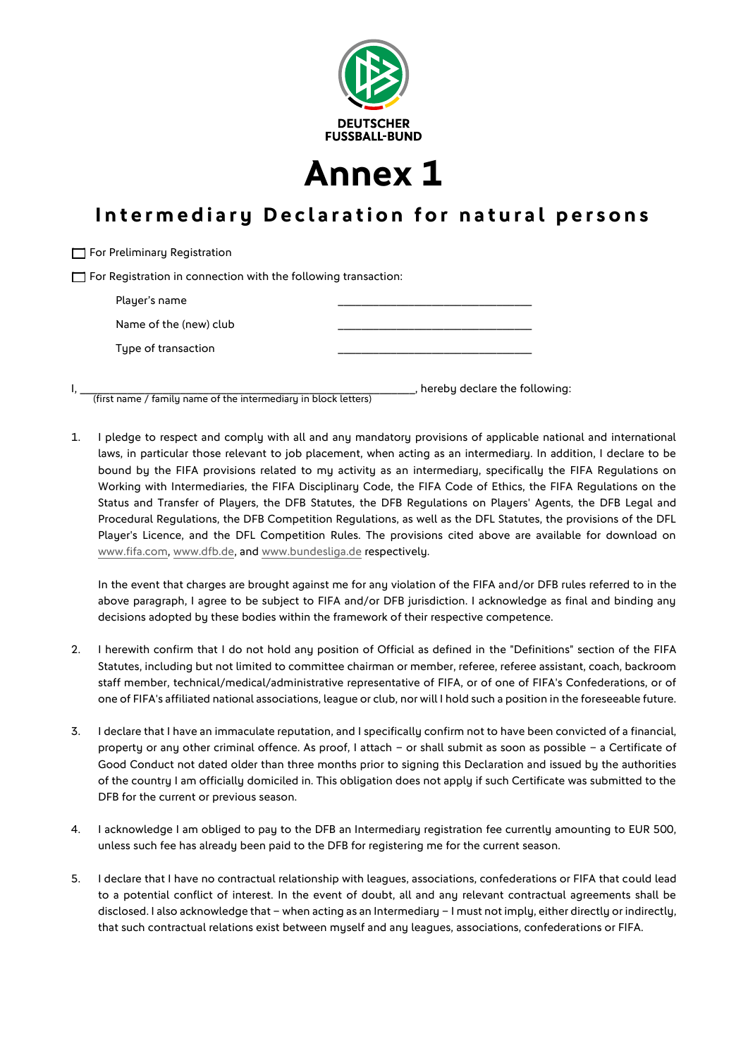

**Annex 1**

## **Intermediary Declaration for natural persons**

 $\Box$  For Registration in connection with the following transaction: Player's name

**T** For Preliminary Registration

| Name of the (new) club |  |
|------------------------|--|
| Type of transaction    |  |

, hereby declare the following: (first name / family name of the intermediary in block letters)

1. I pledge to respect and comply with all and any mandatory provisions of applicable national and international laws, in particular those relevant to job placement, when acting as an intermediary. In addition, I declare to be bound by the FIFA provisions related to my activity as an intermediary, specifically the FIFA Regulations on Working with Intermediaries, the FIFA Disciplinary Code, the FIFA Code of Ethics, the FIFA Regulations on the Status and Transfer of Players, the DFB Statutes, the DFB Regulations on Players' Agents, the DFB Legal and Procedural Regulations, the DFB Competition Regulations, as well as the DFL Statutes, the provisions of the DFL Player's Licence, and the DFL Competition Rules. The provisions cited above are available for download on www.fifa.com, www.dfb.de, and www.bundesliga.de respectively.

In the event that charges are brought against me for any violation of the FIFA and/or DFB rules referred to in the above paragraph, I agree to be subject to FIFA and/or DFB jurisdiction. I acknowledge as final and binding any decisions adopted by these bodies within the framework of their respective competence.

- 2. I herewith confirm that I do not hold any position of Official as defined in the "Definitions" section of the FIFA Statutes, including but not limited to committee chairman or member, referee, referee assistant, coach, backroom staff member, technical/medical/administrative representative of FIFA, or of one of FIFA's Confederations, or of one of FIFA's affiliated national associations, league or club, nor will I hold such a position in the foreseeable future.
- 3. I declare that I have an immaculate reputation, and I specifically confirm not to have been convicted of a financial, property or any other criminal offence. As proof, I attach – or shall submit as soon as possible – a Certificate of Good Conduct not dated older than three months prior to signing this Declaration and issued by the authorities of the country I am officially domiciled in. This obligation does not apply if such Certificate was submitted to the DFB for the current or previous season.
- 4. I acknowledge I am obliged to pay to the DFB an Intermediary registration fee currently amounting to EUR 500, unless such fee has already been paid to the DFB for registering me for the current season.
- 5. I declare that I have no contractual relationship with leagues, associations, confederations or FIFA that could lead to a potential conflict of interest. In the event of doubt, all and any relevant contractual agreements shall be disclosed. I also acknowledge that - when acting as an Intermediary - I must not imply, either directly or indirectly, that such contractual relations exist between myself and any leagues, associations, confederations or FIFA.